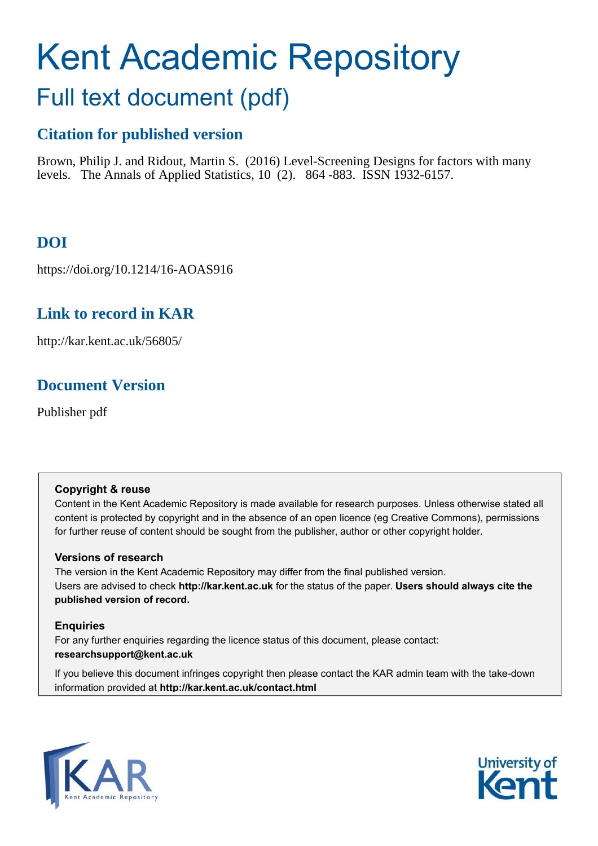# Kent Academic Repository Full text document (pdf)

# **Citation for published version**

Brown, Philip J. and Ridout, Martin S. (2016) Level-Screening Designs for factors with many levels. The Annals of Applied Statistics, 10 (2). 864 -883. ISSN 1932-6157.

# **DOI**

https://doi.org/10.1214/16-AOAS916

# **Link to record in KAR**

http://kar.kent.ac.uk/56805/

## **Document Version**

Publisher pdf

### **Copyright & reuse**

Content in the Kent Academic Repository is made available for research purposes. Unless otherwise stated all content is protected by copyright and in the absence of an open licence (eg Creative Commons), permissions for further reuse of content should be sought from the publisher, author or other copyright holder.

## **Versions of research**

The version in the Kent Academic Repository may differ from the final published version. Users are advised to check **http://kar.kent.ac.uk** for the status of the paper. **Users should always cite the published version of record.**

## **Enquiries**

For any further enquiries regarding the licence status of this document, please contact: **researchsupport@kent.ac.uk**

If you believe this document infringes copyright then please contact the KAR admin team with the take-down information provided at **http://kar.kent.ac.uk/contact.html**



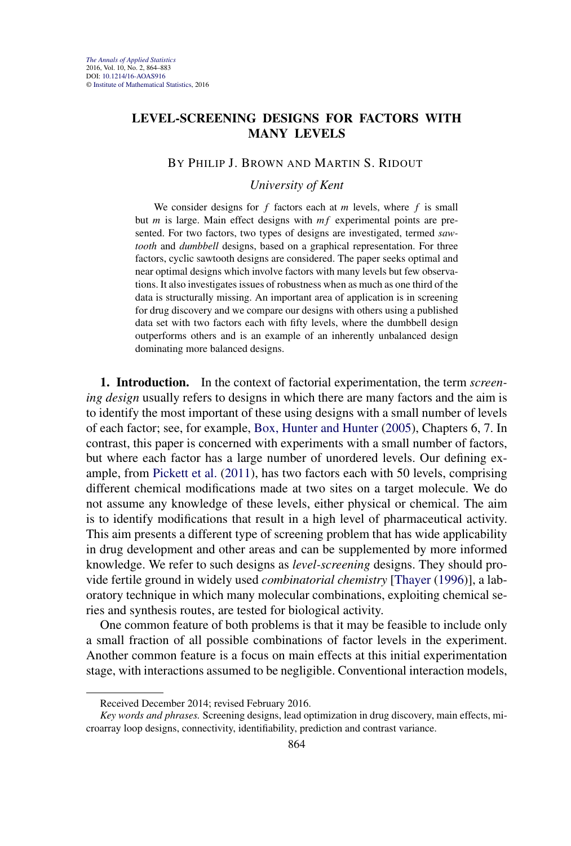### <span id="page-1-0"></span>**LEVEL-SCREENING DESIGNS FOR FACTORS WITH MANY LEVELS**

#### BY PHILIP J. BROWN AND MARTIN S. RIDOUT

#### *University of Kent*

We consider designs for  $f$  factors each at  $m$  levels, where  $f$  is small but  $m$  is large. Main effect designs with  $mf$  experimental points are presented. For two factors, two types of designs are investigated, termed *sawtooth* and *dumbbell* designs, based on a graphical representation. For three factors, cyclic sawtooth designs are considered. The paper seeks optimal and near optimal designs which involve factors with many levels but few observations. It also investigates issues of robustness when as much as one third of the data is structurally missing. An important area of application is in screening for drug discovery and we compare our designs with others using a published data set with two factors each with fifty levels, where the dumbbell design outperforms others and is an example of an inherently unbalanced design dominating more balanced designs.

**1. Introduction.** In the context of factorial experimentation, the term *screening design* usually refers to designs in which there are many factors and the aim is to identify the most important of these using designs with a small number of levels of each factor; see, for example, [Box, Hunter and Hunter](#page-18-0) [\(2005\)](#page-18-0), Chapters 6, 7. In contrast, this paper is concerned with experiments with a small number of factors, but where each factor has a large number of unordered levels. Our defining example, from [Pickett et al.](#page-18-0) [\(2011\)](#page-18-0), has two factors each with 50 levels, comprising different chemical modifications made at two sites on a target molecule. We do not assume any knowledge of these levels, either physical or chemical. The aim is to identify modifications that result in a high level of pharmaceutical activity. This aim presents a different type of screening problem that has wide applicability in drug development and other areas and can be supplemented by more informed knowledge. We refer to such designs as *level-screening* designs. They should provide fertile ground in widely used *combinatorial chemistry* [\[Thayer](#page-19-0) [\(1996\)](#page-19-0)], a laboratory technique in which many molecular combinations, exploiting chemical series and synthesis routes, are tested for biological activity.

One common feature of both problems is that it may be feasible to include only a small fraction of all possible combinations of factor levels in the experiment. Another common feature is a focus on main effects at this initial experimentation stage, with interactions assumed to be negligible. Conventional interaction models,

Received December 2014; revised February 2016.

*Key words and phrases.* Screening designs, lead optimization in drug discovery, main effects, microarray loop designs, connectivity, identifiability, prediction and contrast variance.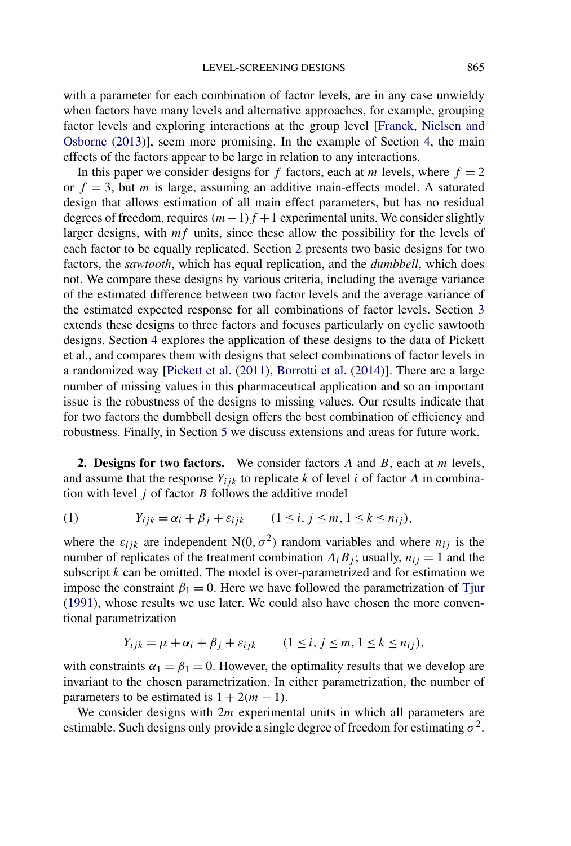with a parameter for each combination of factor levels, are in any case unwieldy when factors have many levels and alternative approaches, for example, grouping factor levels and exploring interactions at the group level [\[Franck, Nielsen and](#page-18-0) [Osborne](#page-18-0) [\(2013\)](#page-18-0)], seem more promising. In the example of Section [4,](#page-11-0) the main effects of the factors appear to be large in relation to any interactions.

In this paper we consider designs for f factors, each at m levels, where  $f = 2$ or  $f = 3$ , but *m* is large, assuming an additive main-effects model. A saturated design that allows estimation of all main effect parameters, but has no residual degrees of freedom, requires  $(m-1)f + 1$  experimental units. We consider slightly larger designs, with  $mf$  units, since these allow the possibility for the levels of each factor to be equally replicated. Section [2](#page-1-0) presents two basic designs for two factors, the *sawtooth*, which has equal replication, and the *dumbbell*, which does not. We compare these designs by various criteria, including the average variance of the estimated difference between two factor levels and the average variance of the estimated expected response for all combinations of factor levels. Section [3](#page-7-0) extends these designs to three factors and focuses particularly on cyclic sawtooth designs. Section [4](#page-11-0) explores the application of these designs to the data of Pickett et al., and compares them with designs that select combinations of factor levels in a randomized way [\[Pickett et al.](#page-18-0) [\(2011\)](#page-18-0), [Borrotti et al.](#page-18-0) [\(2014\)](#page-18-0)]. There are a large number of missing values in this pharmaceutical application and so an important issue is the robustness of the designs to missing values. Our results indicate that for two factors the dumbbell design offers the best combination of efficiency and robustness. Finally, in Section [5](#page-16-0) we discuss extensions and areas for future work.

**2. Designs for two factors.** We consider factors A and B, each at m levels, and assume that the response  $Y_{ijk}$  to replicate k of level i of factor A in combination with level  $j$  of factor  $B$  follows the additive model

$$
(1) \t Y_{ijk} = \alpha_i + \beta_j + \varepsilon_{ijk} \t (1 \le i, j \le m, 1 \le k \le n_{ij}),
$$

where the  $\varepsilon_{ijk}$  are independent N(0,  $\sigma^2$ ) random variables and where  $n_{ij}$  is the number of replicates of the treatment combination  $A_i B_j$ ; usually,  $n_{ij} = 1$  and the subscript  $k$  can be omitted. The model is over-parametrized and for estimation we impose the constraint  $\beta_1 = 0$ . Here we have followed the parametrization of [Tjur](#page-19-0) [\(1991\)](#page-19-0), whose results we use later. We could also have chosen the more conventional parametrization

$$
Y_{ijk} = \mu + \alpha_i + \beta_j + \varepsilon_{ijk} \qquad (1 \le i, j \le m, 1 \le k \le n_{ij}),
$$

with constraints  $\alpha_1 = \beta_1 = 0$ . However, the optimality results that we develop are invariant to the chosen parametrization. In either parametrization, the number of parameters to be estimated is  $1 + 2(m - 1)$ .

We consider designs with  $2m$  experimental units in which all parameters are estimable. Such designs only provide a single degree of freedom for estimating  $\sigma^2$ .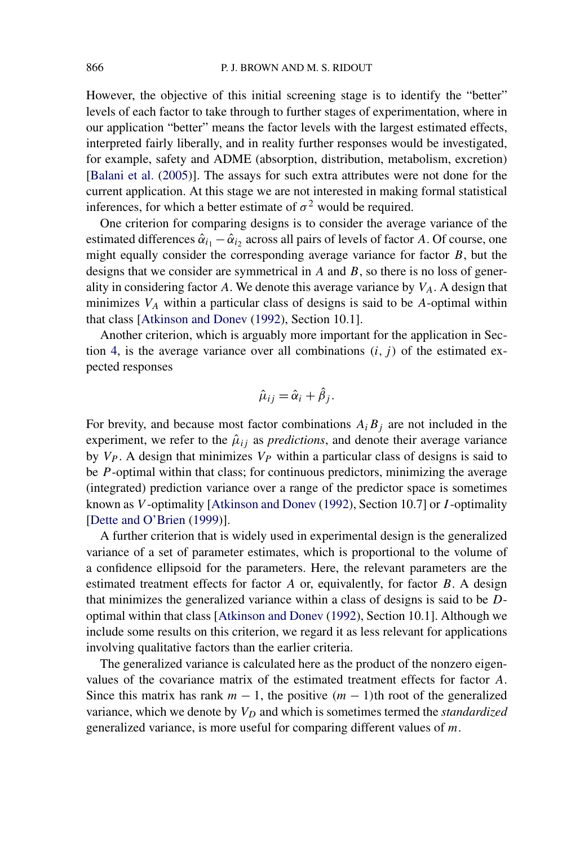<span id="page-3-0"></span>However, the objective of this initial screening stage is to identify the "better" levels of each factor to take through to further stages of experimentation, where in our application "better" means the factor levels with the largest estimated effects, interpreted fairly liberally, and in reality further responses would be investigated, for example, safety and ADME (absorption, distribution, metabolism, excretion) [\[Balani et al.](#page-18-0) [\(2005\)](#page-18-0)]. The assays for such extra attributes were not done for the current application. At this stage we are not interested in making formal statistical inferences, for which a better estimate of  $\sigma^2$  would be required.

One criterion for comparing designs is to consider the average variance of the estimated differences  $\hat{\alpha}_{i_1} - \hat{\alpha}_{i_2}$  across all pairs of levels of factor A. Of course, one might equally consider the corresponding average variance for factor B, but the designs that we consider are symmetrical in  $A$  and  $B$ , so there is no loss of generality in considering factor A. We denote this average variance by  $V_A$ . A design that minimizes  $V_A$  within a particular class of designs is said to be A-optimal within that class [\[Atkinson and Donev](#page-18-0) [\(1992\)](#page-18-0), Section 10.1].

Another criterion, which is arguably more important for the application in Sec-tion [4,](#page-11-0) is the average variance over all combinations  $(i, j)$  of the estimated expected responses

$$
\hat{\mu}_{ij} = \hat{\alpha}_i + \hat{\beta}_j.
$$

For brevity, and because most factor combinations  $A_i B_j$  are not included in the experiment, we refer to the  $\hat{\mu}_{ij}$  as *predictions*, and denote their average variance by  $V_P$ . A design that minimizes  $V_P$  within a particular class of designs is said to be *P*-optimal within that class; for continuous predictors, minimizing the average (integrated) prediction variance over a range of the predictor space is sometimes known as V -optimality [\[Atkinson and Donev](#page-18-0) [\(1992\)](#page-18-0), Section 10.7] or I -optimality [\[Dette and O'Brien](#page-18-0) [\(1999\)](#page-18-0)].

A further criterion that is widely used in experimental design is the generalized variance of a set of parameter estimates, which is proportional to the volume of a confidence ellipsoid for the parameters. Here, the relevant parameters are the estimated treatment effects for factor A or, equivalently, for factor B. A design that minimizes the generalized variance within a class of designs is said to be Doptimal within that class [\[Atkinson and Donev](#page-18-0) [\(1992\)](#page-18-0), Section 10.1]. Although we include some results on this criterion, we regard it as less relevant for applications involving qualitative factors than the earlier criteria.

The generalized variance is calculated here as the product of the nonzero eigenvalues of the covariance matrix of the estimated treatment effects for factor A. Since this matrix has rank  $m - 1$ , the positive  $(m - 1)$ th root of the generalized variance, which we denote by  $V_D$  and which is sometimes termed the *standardized* generalized variance, is more useful for comparing different values of m.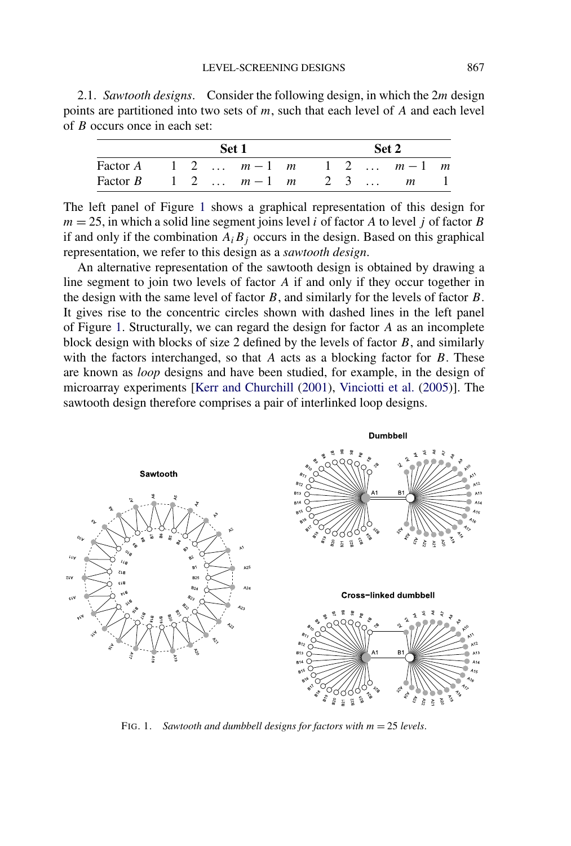<span id="page-4-0"></span>2.1. *Sawtooth designs*. Consider the following design, in which the 2m design points are partitioned into two sets of  $m$ , such that each level of  $A$  and each level of B occurs once in each set:

|                                  |  | Set 1 | Set 2 |  |  |  |  |  |
|----------------------------------|--|-------|-------|--|--|--|--|--|
| Factor A 1 2 $m-1$ m 1 2 $m-1$ m |  |       |       |  |  |  |  |  |
| Factor B 1 2 $m-1$ m 2 3  m 1    |  |       |       |  |  |  |  |  |

The left panel of Figure [1](#page-3-0) shows a graphical representation of this design for  $m = 25$ , in which a solid line segment joins level *i* of factor *A* to level *j* of factor *B* if and only if the combination  $A_i B_j$  occurs in the design. Based on this graphical representation, we refer to this design as a *sawtooth design*.

An alternative representation of the sawtooth design is obtained by drawing a line segment to join two levels of factor A if and only if they occur together in the design with the same level of factor  $B$ , and similarly for the levels of factor  $B$ . It gives rise to the concentric circles shown with dashed lines in the left panel of Figure [1.](#page-3-0) Structurally, we can regard the design for factor A as an incomplete block design with blocks of size 2 defined by the levels of factor  $B$ , and similarly with the factors interchanged, so that  $A$  acts as a blocking factor for  $B$ . These are known as *loop* designs and have been studied, for example, in the design of microarray experiments [\[Kerr and Churchill](#page-18-0) [\(2001\)](#page-18-0), [Vinciotti et al.](#page-19-0) [\(2005\)](#page-19-0)]. The sawtooth design therefore comprises a pair of interlinked loop designs.



FIG. 1. *Sawtooth and dumbbell designs for factors with* m = 25 *levels*.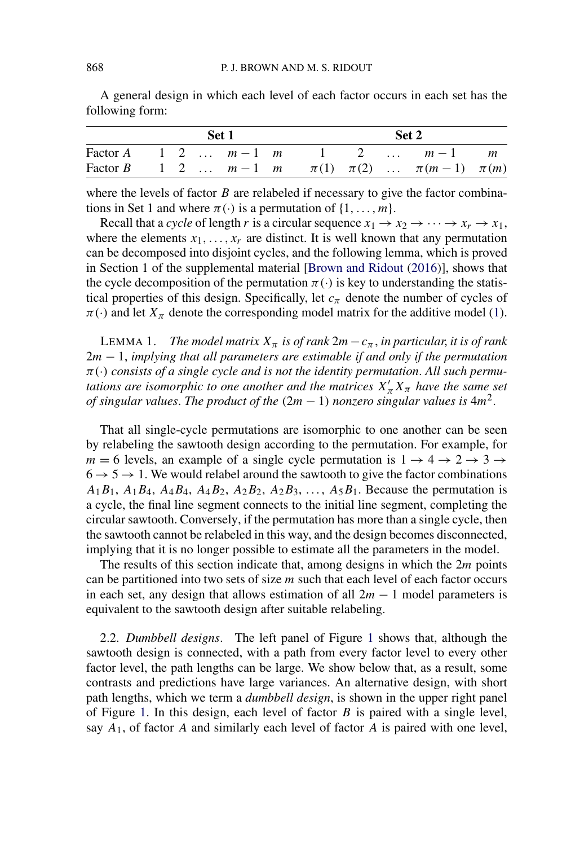|  |  | Set 1 |  | Set 2 |  |                                                            |  |  |  |  |
|--|--|-------|--|-------|--|------------------------------------------------------------|--|--|--|--|
|  |  |       |  |       |  | Factor A 1 2 $m-1$ m 1 2 $m-1$ m                           |  |  |  |  |
|  |  |       |  |       |  | Factor B 1 2 $m-1$ m $\pi(1)$ $\pi(2)$ $\pi(m-1)$ $\pi(m)$ |  |  |  |  |

A general design in which each level of each factor occurs in each set has the following form:

where the levels of factor  $B$  are relabeled if necessary to give the factor combinations in Set 1 and where  $\pi(\cdot)$  is a permutation of  $\{1,\ldots,m\}$ .

Recall that a *cycle* of length r is a circular sequence  $x_1 \rightarrow x_2 \rightarrow \cdots \rightarrow x_r \rightarrow x_1$ , where the elements  $x_1, \ldots, x_r$  are distinct. It is well known that any permutation can be decomposed into disjoint cycles, and the following lemma, which is proved in Section 1 of the supplemental material [\[Brown and Ridout](#page-18-0) [\(2016\)](#page-18-0)], shows that the cycle decomposition of the permutation  $\pi(\cdot)$  is key to understanding the statistical properties of this design. Specifically, let  $c_{\pi}$  denote the number of cycles of  $\pi(\cdot)$  and let  $X_{\pi}$  denote the corresponding model matrix for the additive model [\(1\)](#page-1-0).

LEMMA 1. *The model matrix*  $X_{\pi}$  *is of rank*  $2m - c_{\pi}$ , *in particular, it is of rank* 2m − 1, *implying that all parameters are estimable if and only if the permutation* π(·) *consists of a single cycle and is not the identity permutation*. *All such permutations are isomorphic to one another and the matrices*  $X'_\pi X_\pi$  *have the same set of singular values. The product of the*  $(2m - 1)$  *nonzero singular values is*  $4m^2$ .

That all single-cycle permutations are isomorphic to one another can be seen by relabeling the sawtooth design according to the permutation. For example, for  $m = 6$  levels, an example of a single cycle permutation is  $1 \rightarrow 4 \rightarrow 2 \rightarrow 3 \rightarrow$  $6 \rightarrow 5 \rightarrow 1$ . We would relabel around the sawtooth to give the factor combinations  $A_1B_1$ ,  $A_1B_4$ ,  $A_4B_4$ ,  $A_4B_2$ ,  $A_2B_2$ ,  $A_2B_3$ , ...,  $A_5B_1$ . Because the permutation is a cycle, the final line segment connects to the initial line segment, completing the circular sawtooth. Conversely, if the permutation has more than a single cycle, then the sawtooth cannot be relabeled in this way, and the design becomes disconnected, implying that it is no longer possible to estimate all the parameters in the model.

The results of this section indicate that, among designs in which the  $2m$  points can be partitioned into two sets of size  $m$  such that each level of each factor occurs in each set, any design that allows estimation of all  $2m - 1$  model parameters is equivalent to the sawtooth design after suitable relabeling.

2.2. *Dumbbell designs*. The left panel of Figure [1](#page-3-0) shows that, although the sawtooth design is connected, with a path from every factor level to every other factor level, the path lengths can be large. We show below that, as a result, some contrasts and predictions have large variances. An alternative design, with short path lengths, which we term a *dumbbell design*, is shown in the upper right panel of Figure [1.](#page-3-0) In this design, each level of factor  $B$  is paired with a single level, say  $A_1$ , of factor A and similarly each level of factor A is paired with one level,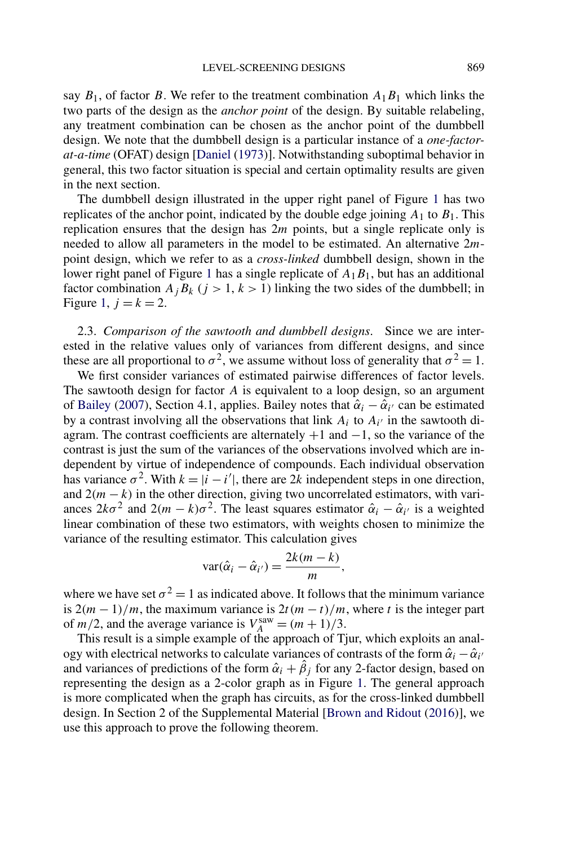<span id="page-6-0"></span>say  $B_1$ , of factor B. We refer to the treatment combination  $A_1B_1$  which links the two parts of the design as the *anchor point* of the design. By suitable relabeling, any treatment combination can be chosen as the anchor point of the dumbbell design. We note that the dumbbell design is a particular instance of a *one-factorat-a-time* (OFAT) design [\[Daniel](#page-18-0) [\(1973\)](#page-18-0)]. Notwithstanding suboptimal behavior in general, this two factor situation is special and certain optimality results are given in the next section.

The dumbbell design illustrated in the upper right panel of Figure [1](#page-3-0) has two replicates of the anchor point, indicated by the double edge joining  $A_1$  to  $B_1$ . This replication ensures that the design has  $2m$  points, but a single replicate only is needed to allow all parameters in the model to be estimated. An alternative 2mpoint design, which we refer to as a *cross-linked* dumbbell design, shown in the lower right panel of Figure [1](#page-3-0) has a single replicate of  $A_1B_1$ , but has an additional factor combination  $A_i B_k$  ( $j > 1, k > 1$ ) linking the two sides of the dumbbell; in Figure [1,](#page-3-0)  $j = k = 2$ .

2.3. *Comparison of the sawtooth and dumbbell designs*. Since we are interested in the relative values only of variances from different designs, and since these are all proportional to  $\sigma^2$ , we assume without loss of generality that  $\sigma^2 = 1$ .

We first consider variances of estimated pairwise differences of factor levels. The sawtooth design for factor A is equivalent to a loop design, so an argument of [Bailey](#page-18-0) [\(2007\)](#page-18-0), Section 4.1, applies. Bailey notes that  $\hat{\alpha}_i - \hat{\alpha}_{i'}$  can be estimated by a contrast involving all the observations that link  $A_i$  to  $A_{i'}$  in the sawtooth diagram. The contrast coefficients are alternately  $+1$  and  $-1$ , so the variance of the contrast is just the sum of the variances of the observations involved which are independent by virtue of independence of compounds. Each individual observation has variance  $\sigma^2$ . With  $k = |\hat{i} - i'|$ , there are  $2\hat{k}$  independent steps in one direction, and  $2(m - k)$  in the other direction, giving two uncorrelated estimators, with variances  $2k\sigma^2$  and  $2(m-k)\sigma^2$ . The least squares estimator  $\hat{\alpha}_i - \hat{\alpha}_{i'}$  is a weighted linear combination of these two estimators, with weights chosen to minimize the variance of the resulting estimator. This calculation gives

$$
\text{var}(\hat{\alpha}_i - \hat{\alpha}_{i'}) = \frac{2k(m-k)}{m},
$$

where we have set  $\sigma^2 = 1$  as indicated above. It follows that the minimum variance is  $2(m-1)/m$ , the maximum variance is  $2t(m-t)/m$ , where t is the integer part of  $m/2$ , and the average variance is  $V_A^{\text{sav}} = (m + 1)/3$ .

This result is a simple example of the approach of Tjur, which exploits an analogy with electrical networks to calculate variances of contrasts of the form  $\hat{\alpha}_i - \hat{\alpha}_{i'}$ and variances of predictions of the form  $\hat{\alpha}_i + \hat{\beta}_j$  for any 2-factor design, based on representing the design as a 2-color graph as in Figure [1.](#page-3-0) The general approach is more complicated when the graph has circuits, as for the cross-linked dumbbell design. In Section 2 of the Supplemental Material [\[Brown and Ridout](#page-18-0) [\(2016\)](#page-18-0)], we use this approach to prove the following theorem.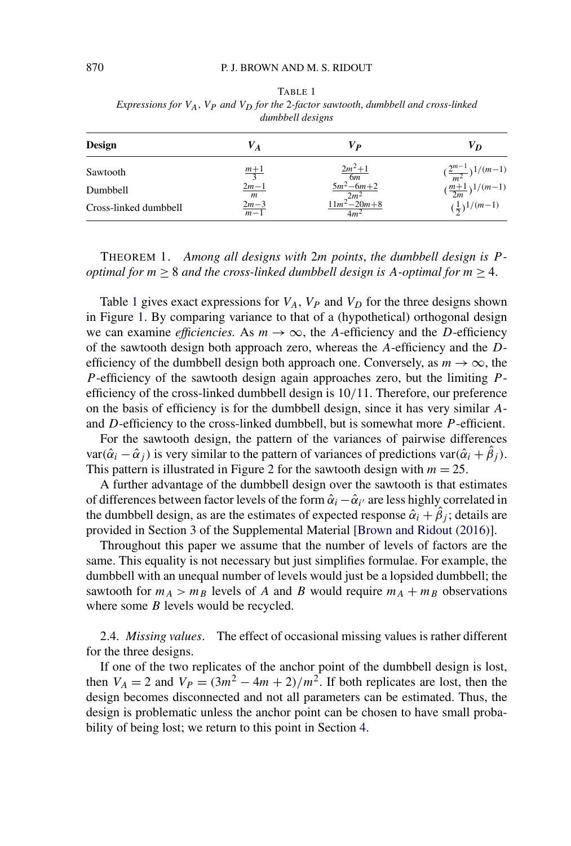| <i>umnoven uesigns</i> |                    |                                 |                                              |  |  |  |  |  |  |  |
|------------------------|--------------------|---------------------------------|----------------------------------------------|--|--|--|--|--|--|--|
| <b>Design</b>          | $\boldsymbol{V_A}$ | Vр                              | V <sub>D</sub>                               |  |  |  |  |  |  |  |
| Sawtooth               | $\frac{m+1}{3}$    | $\frac{2m^2+1}{6m}$             | $\left(\frac{2^{m-1}}{m^2}\right)^{1/(m-1)}$ |  |  |  |  |  |  |  |
| Dumbbell               | $\frac{2m-1}{m}$   | $\frac{5m^2-6m+2}{11m^2-20m+8}$ | $(\frac{m+1}{2m})^{1/(m-1)}$                 |  |  |  |  |  |  |  |
| Cross-linked dumbbell  | $\frac{2m-3}{m-1}$ | 4m <sup>2</sup>                 | $(\frac{1}{2})^{1/(m-1)}$                    |  |  |  |  |  |  |  |

<span id="page-7-0"></span>TABLE 1 *Expressions for*  $V_A$ ,  $V_P$  *and*  $V_D$  *for the* 2-factor *sawtooth*, *dumbbell and cross-linked dumbbell designs*

THEOREM 1. *Among all designs with* 2m *points*, *the dumbbell design is* P  *optimal for*  $m \geq 8$  *and the cross-linked dumbbell design is A-optimal for*  $m \geq 4$ *.* 

Table [1](#page-6-0) gives exact expressions for  $V_A$ ,  $V_P$  and  $V_D$  for the three designs shown in Figure [1.](#page-3-0) By comparing variance to that of a (hypothetical) orthogonal design we can examine *efficiencies*. As  $m \to \infty$ , the A-efficiency and the D-efficiency of the sawtooth design both approach zero, whereas the A-efficiency and the Defficiency of the dumbbell design both approach one. Conversely, as  $m \to \infty$ , the P-efficiency of the sawtooth design again approaches zero, but the limiting  $P$ efficiency of the cross-linked dumbbell design is 10/11. Therefore, our preference on the basis of efficiency is for the dumbbell design, since it has very similar Aand  $D$ -efficiency to the cross-linked dumbbell, but is somewhat more  $P$ -efficient.

For the sawtooth design, the pattern of the variances of pairwise differences var( $\hat{\alpha}_i - \hat{\alpha}_j$ ) is very similar to the pattern of variances of predictions var( $\hat{\alpha}_i + \hat{\beta}_j$ ). This pattern is illustrated in Figure 2 for the sawtooth design with  $m = 25$ .

A further advantage of the dumbbell design over the sawtooth is that estimates of differences between factor levels of the form  $\hat{\alpha}_i - \hat{\alpha}_{i'}$  are less highly correlated in the dumbbell design, as are the estimates of expected response  $\hat{\alpha}_i + \hat{\beta}_j$ ; details are provided in Section 3 of the Supplemental Material [\[Brown and Ridout](#page-18-0) [\(2016\)](#page-18-0)].

Throughout this paper we assume that the number of levels of factors are the same. This equality is not necessary but just simplifies formulae. For example, the dumbbell with an unequal number of levels would just be a lopsided dumbbell; the sawtooth for  $m_A > m_B$  levels of A and B would require  $m_A + m_B$  observations where some *B* levels would be recycled.

2.4. *Missing values*. The effect of occasional missing values is rather different for the three designs.

If one of the two replicates of the anchor point of the dumbbell design is lost, then  $V_A = 2$  and  $V_P = (3m^2 - 4m + 2)/m^2$ . If both replicates are lost, then the design becomes disconnected and not all parameters can be estimated. Thus, the design is problematic unless the anchor point can be chosen to have small probability of being lost; we return to this point in Section [4.](#page-11-0)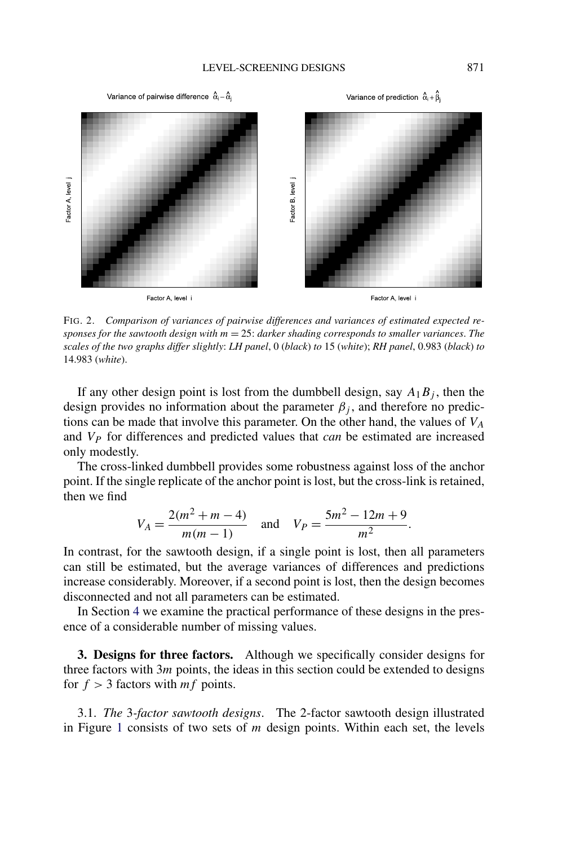

FIG. 2. *Comparison of variances of pairwise differences and variances of estimated expected responses for the sawtooth design with* m = 25: *darker shading corresponds to smaller variances*. *The scales of the two graphs differ slightly*: *LH panel*,0(*black*) *to* 15 (*white*); *RH panel*, 0.983 (*black*) *to* 14.983 (*white*).

If any other design point is lost from the dumbbell design, say  $A_1B_j$ , then the design provides no information about the parameter  $\beta_i$ , and therefore no predictions can be made that involve this parameter. On the other hand, the values of  $V_A$ and V<sup>P</sup> for differences and predicted values that *can* be estimated are increased only modestly.

The cross-linked dumbbell provides some robustness against loss of the anchor point. If the single replicate of the anchor point is lost, but the cross-link is retained, then we find

$$
V_A = \frac{2(m^2 + m - 4)}{m(m - 1)}
$$
 and  $V_P = \frac{5m^2 - 12m + 9}{m^2}$ .

In contrast, for the sawtooth design, if a single point is lost, then all parameters can still be estimated, but the average variances of differences and predictions increase considerably. Moreover, if a second point is lost, then the design becomes disconnected and not all parameters can be estimated.

In Section [4](#page-11-0) we examine the practical performance of these designs in the presence of a considerable number of missing values.

**3. Designs for three factors.** Although we specifically consider designs for three factors with  $3m$  points, the ideas in this section could be extended to designs for  $f > 3$  factors with  $mf$  points.

3.1. *The* 3*-factor sawtooth designs*. The 2-factor sawtooth design illustrated in Figure [1](#page-3-0) consists of two sets of  $m$  design points. Within each set, the levels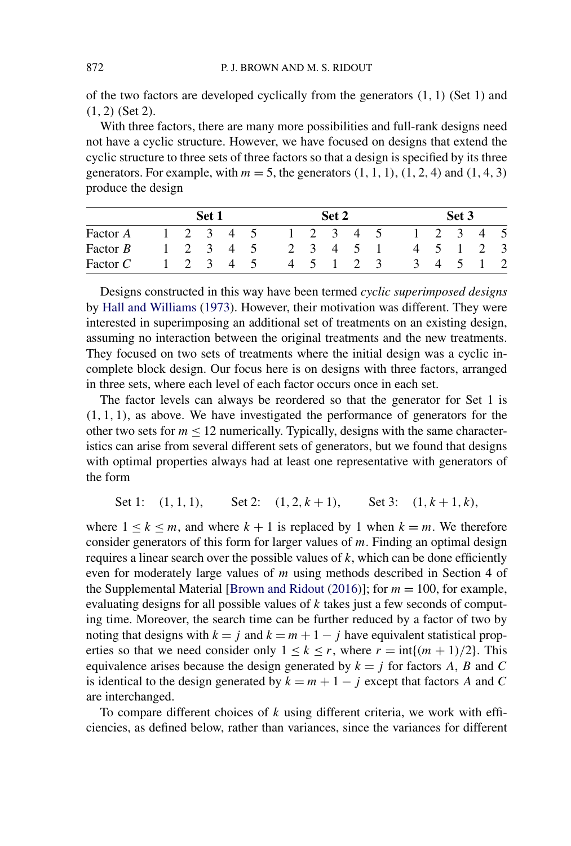<span id="page-9-0"></span>of the two factors are developed cyclically from the generators  $(1, 1)$  (Set 1) and (1, 2) (Set 2).

With three factors, there are many more possibilities and full-rank designs need not have a cyclic structure. However, we have focused on designs that extend the cyclic structure to three sets of three factors so that a design is specified by its three generators. For example, with  $m = 5$ , the generators  $(1, 1, 1)$ ,  $(1, 2, 4)$  and  $(1, 4, 3)$ produce the design

| Factor A   | Set 1 |                     |  |  |                     | Set 2 |       |                                 |  |          | Set 3           |                |              |     |
|------------|-------|---------------------|--|--|---------------------|-------|-------|---------------------------------|--|----------|-----------------|----------------|--------------|-----|
|            |       |                     |  |  | $1 \t2 \t3 \t4 \t5$ |       |       | $1\quad 2\quad 3\quad 4\quad 5$ |  |          | $1 \t2 \t3 \t4$ |                |              | - 5 |
| Factor $B$ |       | $1 \t2 \t3 \t4 \t5$ |  |  |                     |       |       | 2 3 4 5 1                       |  |          | 4 5 1           |                | <sup>2</sup> | - 3 |
| Factor $C$ |       | 2 3 4 5             |  |  |                     |       | 4 5 1 | 2 3                             |  | $\Delta$ | $\overline{4}$  | $\overline{5}$ |              |     |

Designs constructed in this way have been termed *cyclic superimposed designs* by [Hall and Williams](#page-18-0) [\(1973\)](#page-18-0). However, their motivation was different. They were interested in superimposing an additional set of treatments on an existing design, assuming no interaction between the original treatments and the new treatments. They focused on two sets of treatments where the initial design was a cyclic incomplete block design. Our focus here is on designs with three factors, arranged in three sets, where each level of each factor occurs once in each set.

The factor levels can always be reordered so that the generator for Set 1 is  $(1, 1, 1)$ , as above. We have investigated the performance of generators for the other two sets for  $m \le 12$  numerically. Typically, designs with the same characteristics can arise from several different sets of generators, but we found that designs with optimal properties always had at least one representative with generators of the form

Set 1: 
$$
(1, 1, 1)
$$
, Set 2:  $(1, 2, k + 1)$ , Set 3:  $(1, k + 1, k)$ ,

where  $1 \leq k \leq m$ , and where  $k + 1$  is replaced by 1 when  $k = m$ . We therefore consider generators of this form for larger values of  $m$ . Finding an optimal design requires a linear search over the possible values of  $k$ , which can be done efficiently even for moderately large values of m using methods described in Section 4 of the Supplemental Material [\[Brown and Ridout](#page-18-0) [\(2016\)](#page-18-0)]; for  $m = 100$ , for example, evaluating designs for all possible values of  $k$  takes just a few seconds of computing time. Moreover, the search time can be further reduced by a factor of two by noting that designs with  $k = j$  and  $k = m + 1 - j$  have equivalent statistical properties so that we need consider only  $1 \le k \le r$ , where  $r = \inf\{(m+1)/2\}$ . This equivalence arises because the design generated by  $k = j$  for factors A, B and C is identical to the design generated by  $k = m + 1 - j$  except that factors A and C are interchanged.

To compare different choices of  $k$  using different criteria, we work with efficiencies, as defined below, rather than variances, since the variances for different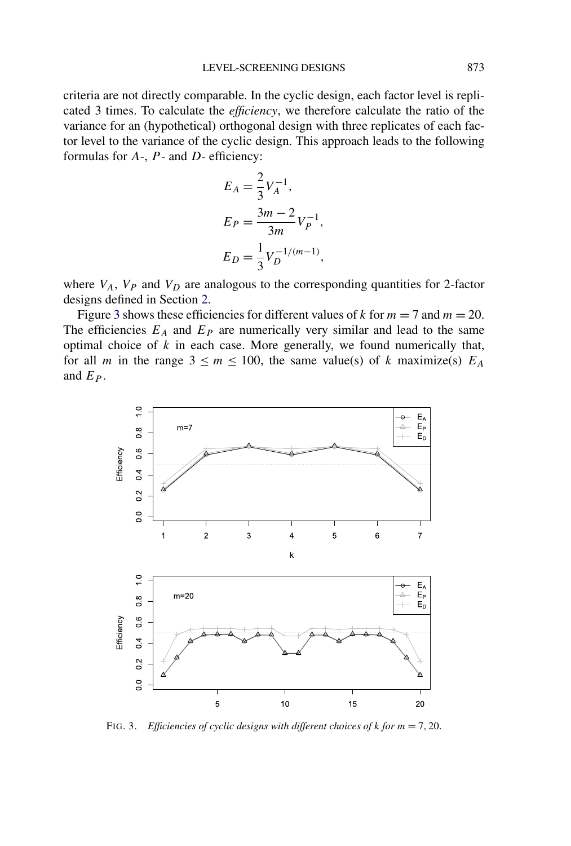<span id="page-10-0"></span>criteria are not directly comparable. In the cyclic design, each factor level is replicated 3 times. To calculate the *efficiency*, we therefore calculate the ratio of the variance for an (hypothetical) orthogonal design with three replicates of each factor level to the variance of the cyclic design. This approach leads to the following formulas for  $A$ -,  $P$ - and  $D$ - efficiency:

$$
E_A = \frac{2}{3} V_A^{-1},
$$
  
\n
$$
E_P = \frac{3m - 2}{3m} V_P^{-1},
$$
  
\n
$$
E_D = \frac{1}{3} V_D^{-1/(m-1)},
$$

where  $V_A$ ,  $V_P$  and  $V_D$  are analogous to the corresponding quantities for 2-factor designs defined in Section [2.](#page-1-0)

Figure [3](#page-9-0) shows these efficiencies for different values of k for  $m = 7$  and  $m = 20$ . The efficiencies  $E_A$  and  $E_P$  are numerically very similar and lead to the same optimal choice of  $k$  in each case. More generally, we found numerically that, for all m in the range  $3 \le m \le 100$ , the same value(s) of k maximize(s)  $E_A$ and  $E_P$ .



FIG. 3. *Efficiencies of cyclic designs with different choices of* k *for* m = 7, 20.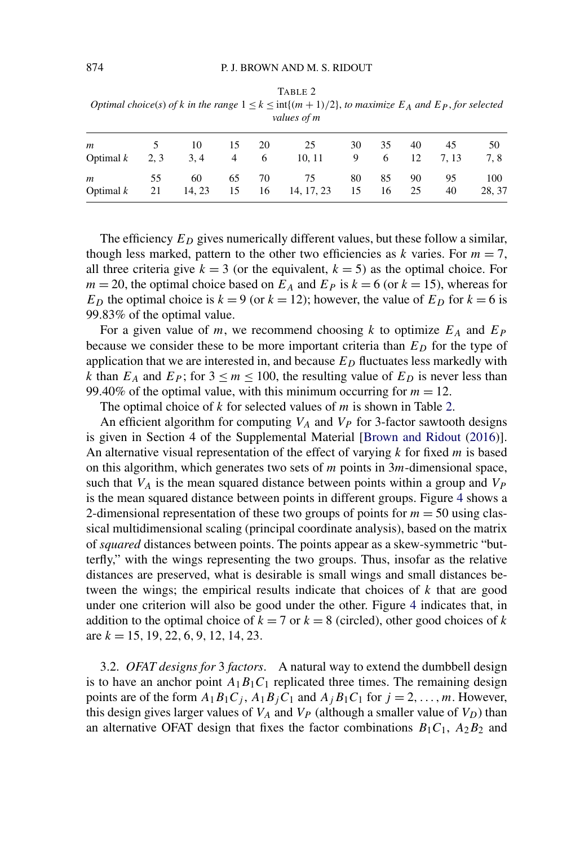<span id="page-11-0"></span>

|     | Optimal choice(s) of k in the range $1 \le k \le \inf\{(m+1)/2\}$ , to maximize $E_A$ and $E_P$ , for selected<br>values of m |  |  |  |  |  |  |            |  |  |  |  |
|-----|-------------------------------------------------------------------------------------------------------------------------------|--|--|--|--|--|--|------------|--|--|--|--|
| 122 |                                                                                                                               |  |  |  |  |  |  | $\Delta$ ( |  |  |  |  |

| m |  |  | 5 10 15 20 25<br>Optimal $k = 2, 3 = 3, 4 = 4 = 6 = 10, 11 = 9 = 6 = 12 = 7, 13 = 12$ |  | 30 35 40 45 | 50<br>7,8 |
|---|--|--|---------------------------------------------------------------------------------------|--|-------------|-----------|
|   |  |  | m 55 60 65 70 75 80 85 90 95 100<br>Optimal k 21 14, 23 15 16 14, 17, 23 15 16 25     |  | 40          | 28, 37    |

The efficiency  $E_D$  gives numerically different values, but these follow a similar, though less marked, pattern to the other two efficiencies as k varies. For  $m = 7$ , all three criteria give  $k = 3$  (or the equivalent,  $k = 5$ ) as the optimal choice. For  $m = 20$ , the optimal choice based on  $E_A$  and  $E_P$  is  $k = 6$  (or  $k = 15$ ), whereas for  $E_D$  the optimal choice is  $k = 9$  (or  $k = 12$ ); however, the value of  $E_D$  for  $k = 6$  is 99.83% of the optimal value.

For a given value of m, we recommend choosing k to optimize  $E_A$  and  $E_P$ because we consider these to be more important criteria than  $E<sub>D</sub>$  for the type of application that we are interested in, and because  $E_D$  fluctuates less markedly with k than  $E_A$  and  $E_P$ ; for  $3 \le m \le 100$ , the resulting value of  $E_D$  is never less than 99.40% of the optimal value, with this minimum occurring for  $m = 12$ .

The optimal choice of  $k$  for selected values of  $m$  is shown in Table [2.](#page-10-0)

An efficient algorithm for computing  $V_A$  and  $V_P$  for 3-factor sawtooth designs is given in Section 4 of the Supplemental Material [\[Brown and Ridout](#page-18-0) [\(2016\)](#page-18-0)]. An alternative visual representation of the effect of varying  $k$  for fixed  $m$  is based on this algorithm, which generates two sets of  $m$  points in  $3m$ -dimensional space, such that  $V_A$  is the mean squared distance between points within a group and  $V_P$ is the mean squared distance between points in different groups. Figure 4 shows a 2-dimensional representation of these two groups of points for  $m = 50$  using classical multidimensional scaling (principal coordinate analysis), based on the matrix of *squared* distances between points. The points appear as a skew-symmetric "butterfly," with the wings representing the two groups. Thus, insofar as the relative distances are preserved, what is desirable is small wings and small distances between the wings; the empirical results indicate that choices of  $k$  that are good under one criterion will also be good under the other. Figure 4 indicates that, in addition to the optimal choice of  $k = 7$  or  $k = 8$  (circled), other good choices of k are  $k = 15, 19, 22, 6, 9, 12, 14, 23$ .

3.2. *OFAT designs for* 3 *factors*. A natural way to extend the dumbbell design is to have an anchor point  $A_1B_1C_1$  replicated three times. The remaining design points are of the form  $A_1B_1C_j$ ,  $A_1B_jC_1$  and  $A_jB_1C_1$  for  $j = 2, ..., m$ . However, this design gives larger values of  $V_A$  and  $V_P$  (although a smaller value of  $V_D$ ) than an alternative OFAT design that fixes the factor combinations  $B_1C_1$ ,  $A_2B_2$  and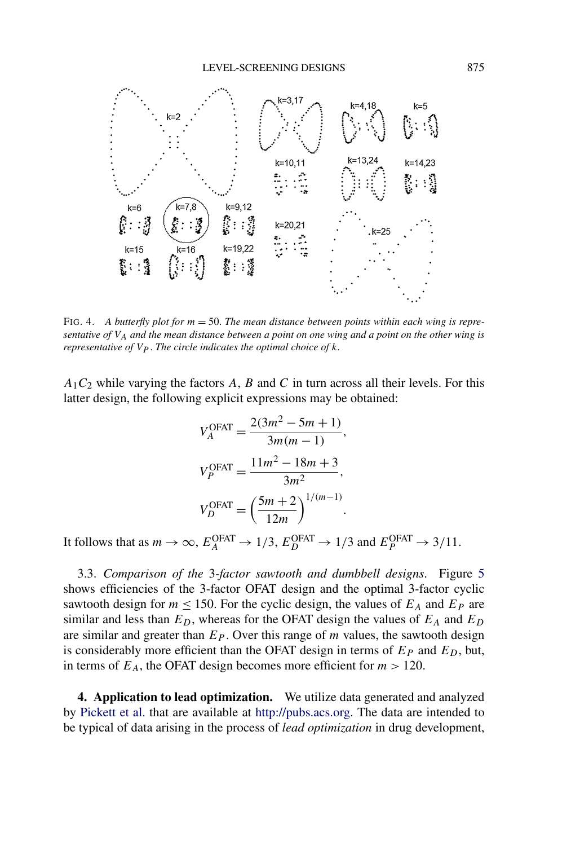

FIG. 4. *A butterfly plot for* m = 50. *The mean distance between points within each wing is representative of* VA *and the mean distance between a point on one wing and a point on the other wing is representative of*  $V_P$ *. The circle indicates the optimal choice of k.* 

 $A_1C_2$  while varying the factors A, B and C in turn across all their levels. For this latter design, the following explicit expressions may be obtained:

$$
V_A^{\text{OFAT}} = \frac{2(3m^2 - 5m + 1)}{3m(m - 1)},
$$
  
\n
$$
V_P^{\text{OFAT}} = \frac{11m^2 - 18m + 3}{3m^2},
$$
  
\n
$$
V_D^{\text{OFAT}} = \left(\frac{5m + 2}{12m}\right)^{1/(m-1)}.
$$

It follows that as  $m \to \infty$ ,  $E_A^{\text{OFAT}} \to 1/3$ ,  $E_D^{\text{OFAT}} \to 1/3$  and  $E_P^{\text{OFAT}} \to 3/11$ .

3.3. *Comparison of the* 3*-factor sawtooth and dumbbell designs*. Figure 5 shows efficiencies of the 3-factor OFAT design and the optimal 3-factor cyclic sawtooth design for  $m \le 150$ . For the cyclic design, the values of  $E_A$  and  $E_P$  are similar and less than  $E_D$ , whereas for the OFAT design the values of  $E_A$  and  $E_D$ are similar and greater than  $E<sub>P</sub>$ . Over this range of m values, the sawtooth design is considerably more efficient than the OFAT design in terms of  $E<sub>P</sub>$  and  $E<sub>D</sub>$ , but, in terms of  $E_A$ , the OFAT design becomes more efficient for  $m > 120$ .

**4. Application to lead optimization.** We utilize data generated and analyzed by [Pickett et al.](#page-18-0) that are available at <http://pubs.acs.org>. The data are intended to be typical of data arising in the process of *lead optimization* in drug development,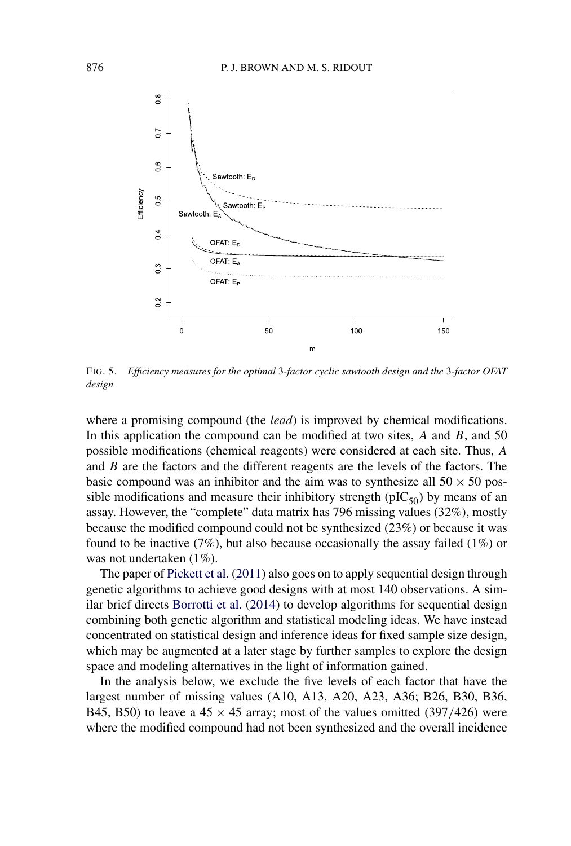

FIG. 5. *Efficiency measures for the optimal* 3*-factor cyclic sawtooth design and the* 3*-factor OFAT design*

where a promising compound (the *lead*) is improved by chemical modifications. In this application the compound can be modified at two sites,  $A$  and  $B$ , and  $50$ possible modifications (chemical reagents) were considered at each site. Thus, A and B are the factors and the different reagents are the levels of the factors. The basic compound was an inhibitor and the aim was to synthesize all  $50 \times 50$  possible modifications and measure their inhibitory strength ( $pIC_{50}$ ) by means of an assay. However, the "complete" data matrix has 796 missing values (32%), mostly because the modified compound could not be synthesized (23%) or because it was found to be inactive  $(7\%)$ , but also because occasionally the assay failed  $(1\%)$  or was not undertaken (1%).

The paper of [Pickett et al.](#page-18-0) [\(2011\)](#page-18-0) also goes on to apply sequential design through genetic algorithms to achieve good designs with at most 140 observations. A similar brief directs [Borrotti et al.](#page-18-0) [\(2014\)](#page-18-0) to develop algorithms for sequential design combining both genetic algorithm and statistical modeling ideas. We have instead concentrated on statistical design and inference ideas for fixed sample size design, which may be augmented at a later stage by further samples to explore the design space and modeling alternatives in the light of information gained.

In the analysis below, we exclude the five levels of each factor that have the largest number of missing values (A10, A13, A20, A23, A36; B26, B30, B36, B45, B50) to leave a  $45 \times 45$  array; most of the values omitted (397/426) were where the modified compound had not been synthesized and the overall incidence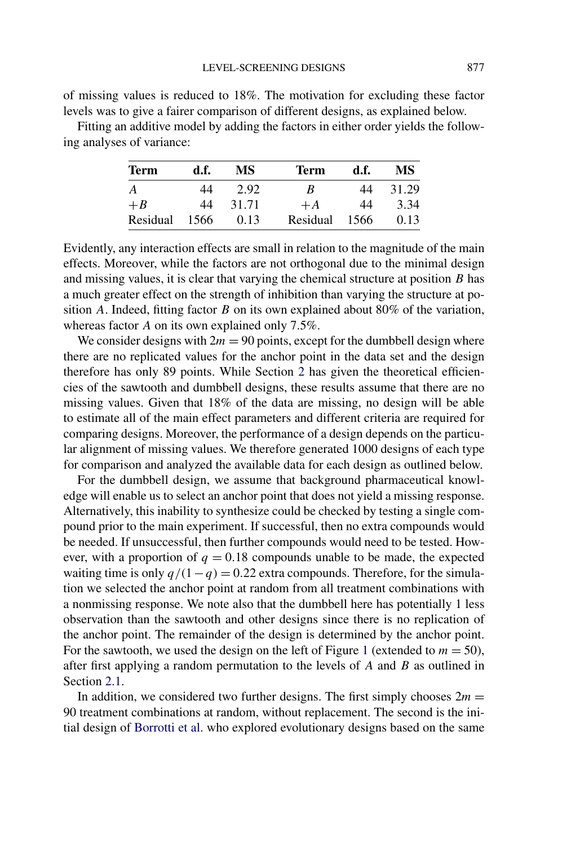of missing values is reduced to 18%. The motivation for excluding these factor levels was to give a fairer comparison of different designs, as explained below.

Fitting an additive model by adding the factors in either order yields the following analyses of variance:

| <b>Term</b> | d.ť. | МS    | Term     | d.f. | МS    |
|-------------|------|-------|----------|------|-------|
| A           | 44   | 2.92  | В        | 44   | 31.29 |
| $+ B$       | 44   | 31.71 | $+A$     | 44   | 3.34  |
| Residual    | 1566 | 0.13  | Residual | 1566 | 0.13  |

Evidently, any interaction effects are small in relation to the magnitude of the main effects. Moreover, while the factors are not orthogonal due to the minimal design and missing values, it is clear that varying the chemical structure at position  $B$  has a much greater effect on the strength of inhibition than varying the structure at position A. Indeed, fitting factor  $B$  on its own explained about 80% of the variation, whereas factor A on its own explained only 7.5%.

We consider designs with  $2m = 90$  points, except for the dumbbell design where there are no replicated values for the anchor point in the data set and the design therefore has only 89 points. While Section [2](#page-1-0) has given the theoretical efficiencies of the sawtooth and dumbbell designs, these results assume that there are no missing values. Given that 18% of the data are missing, no design will be able to estimate all of the main effect parameters and different criteria are required for comparing designs. Moreover, the performance of a design depends on the particular alignment of missing values. We therefore generated 1000 designs of each type for comparison and analyzed the available data for each design as outlined below.

For the dumbbell design, we assume that background pharmaceutical knowledge will enable us to select an anchor point that does not yield a missing response. Alternatively, this inability to synthesize could be checked by testing a single compound prior to the main experiment. If successful, then no extra compounds would be needed. If unsuccessful, then further compounds would need to be tested. However, with a proportion of  $q = 0.18$  compounds unable to be made, the expected waiting time is only  $q/(1-q) = 0.22$  extra compounds. Therefore, for the simulation we selected the anchor point at random from all treatment combinations with a nonmissing response. We note also that the dumbbell here has potentially 1 less observation than the sawtooth and other designs since there is no replication of the anchor point. The remainder of the design is determined by the anchor point. For the sawtooth, we used the design on the left of Figure [1](#page-3-0) (extended to  $m = 50$ ), after first applying a random permutation to the levels of  $A$  and  $B$  as outlined in Section [2.1.](#page-3-0)

In addition, we considered two further designs. The first simply chooses  $2m =$ 90 treatment combinations at random, without replacement. The second is the initial design of [Borrotti et al.](#page-18-0) who explored evolutionary designs based on the same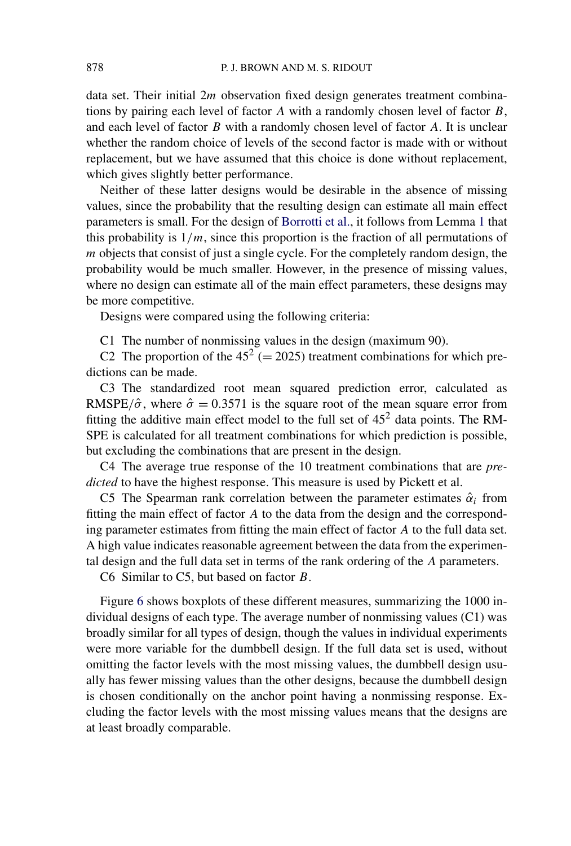data set. Their initial 2*m* observation fixed design generates treatment combinations by pairing each level of factor A with a randomly chosen level of factor  $B$ , and each level of factor  $B$  with a randomly chosen level of factor  $A$ . It is unclear whether the random choice of levels of the second factor is made with or without replacement, but we have assumed that this choice is done without replacement, which gives slightly better performance.

Neither of these latter designs would be desirable in the absence of missing values, since the probability that the resulting design can estimate all main effect parameters is small. For the design of [Borrotti et al.,](#page-18-0) it follows from Lemma [1](#page-4-0) that this probability is  $1/m$ , since this proportion is the fraction of all permutations of m objects that consist of just a single cycle. For the completely random design, the probability would be much smaller. However, in the presence of missing values, where no design can estimate all of the main effect parameters, these designs may be more competitive.

Designs were compared using the following criteria:

C1 The number of nonmissing values in the design (maximum 90).

C2 The proportion of the  $45^2$  (= 2025) treatment combinations for which predictions can be made.

C3 The standardized root mean squared prediction error, calculated as RMSPE/ $\hat{\sigma}$ , where  $\hat{\sigma} = 0.3571$  is the square root of the mean square error from fitting the additive main effect model to the full set of  $45<sup>2</sup>$  data points. The RM-SPE is calculated for all treatment combinations for which prediction is possible, but excluding the combinations that are present in the design.

C4 The average true response of the 10 treatment combinations that are *predicted* to have the highest response. This measure is used by Pickett et al.

C5 The Spearman rank correlation between the parameter estimates  $\hat{\alpha}_i$  from fitting the main effect of factor A to the data from the design and the corresponding parameter estimates from fitting the main effect of factor A to the full data set. A high value indicates reasonable agreement between the data from the experimental design and the full data set in terms of the rank ordering of the A parameters.

C6 Similar to C5, but based on factor B.

Figure 6 shows boxplots of these different measures, summarizing the 1000 individual designs of each type. The average number of nonmissing values (C1) was broadly similar for all types of design, though the values in individual experiments were more variable for the dumbbell design. If the full data set is used, without omitting the factor levels with the most missing values, the dumbbell design usually has fewer missing values than the other designs, because the dumbbell design is chosen conditionally on the anchor point having a nonmissing response. Excluding the factor levels with the most missing values means that the designs are at least broadly comparable.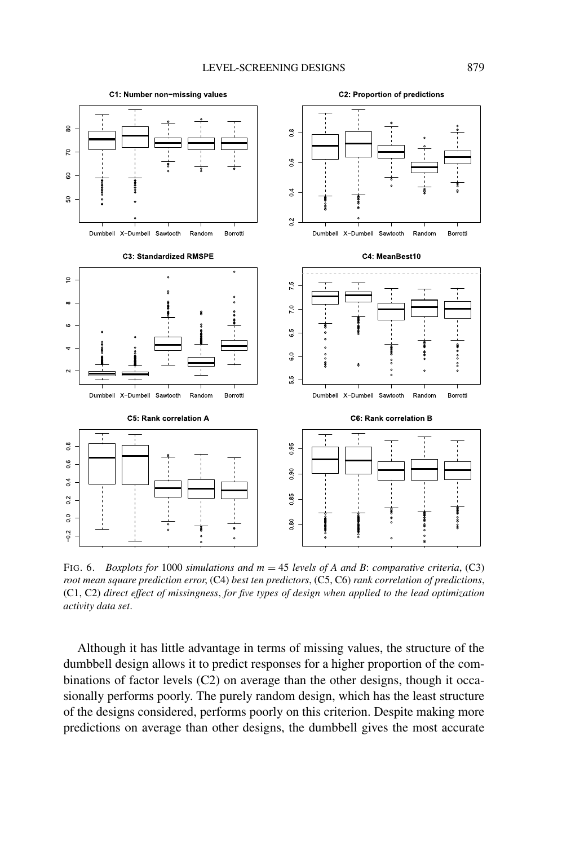<span id="page-16-0"></span>

FIG. 6. *Boxplots for* 1000 *simulations and* m = 45 *levels of A and B*: *comparative criteria*, (C3) *root mean square prediction error*, (C4) *best ten predictors*, (C5, C6) *rank correlation of predictions*, (C1, C2) *direct effect of missingness*, *for five types of design when applied to the lead optimization activity data set*.

Although it has little advantage in terms of missing values, the structure of the dumbbell design allows it to predict responses for a higher proportion of the combinations of factor levels (C2) on average than the other designs, though it occasionally performs poorly. The purely random design, which has the least structure of the designs considered, performs poorly on this criterion. Despite making more predictions on average than other designs, the dumbbell gives the most accurate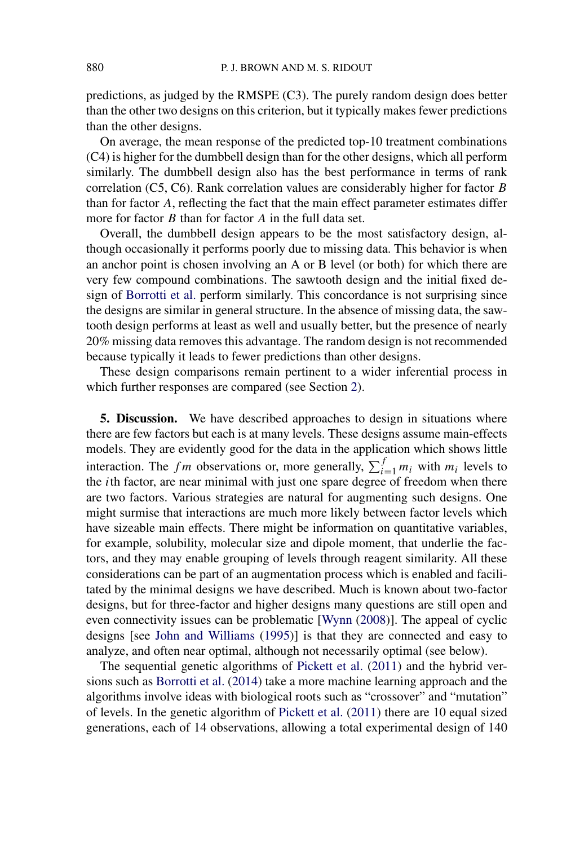predictions, as judged by the RMSPE (C3). The purely random design does better than the other two designs on this criterion, but it typically makes fewer predictions than the other designs.

On average, the mean response of the predicted top-10 treatment combinations (C4) is higher for the dumbbell design than for the other designs, which all perform similarly. The dumbbell design also has the best performance in terms of rank correlation (C5, C6). Rank correlation values are considerably higher for factor B than for factor A, reflecting the fact that the main effect parameter estimates differ more for factor  $B$  than for factor  $A$  in the full data set.

Overall, the dumbbell design appears to be the most satisfactory design, although occasionally it performs poorly due to missing data. This behavior is when an anchor point is chosen involving an A or B level (or both) for which there are very few compound combinations. The sawtooth design and the initial fixed design of [Borrotti et al.](#page-18-0) perform similarly. This concordance is not surprising since the designs are similar in general structure. In the absence of missing data, the sawtooth design performs at least as well and usually better, but the presence of nearly 20% missing data removes this advantage. The random design is not recommended because typically it leads to fewer predictions than other designs.

These design comparisons remain pertinent to a wider inferential process in which further responses are compared (see Section [2\)](#page-1-0).

**5. Discussion.** We have described approaches to design in situations where there are few factors but each is at many levels. These designs assume main-effects models. They are evidently good for the data in the application which shows little interaction. The f m observations or, more generally,  $\sum_{i=1}^{f} m_i$  with  $m_i$  levels to the *i*th factor, are near minimal with just one spare degree of freedom when there are two factors. Various strategies are natural for augmenting such designs. One might surmise that interactions are much more likely between factor levels which have sizeable main effects. There might be information on quantitative variables, for example, solubility, molecular size and dipole moment, that underlie the factors, and they may enable grouping of levels through reagent similarity. All these considerations can be part of an augmentation process which is enabled and facilitated by the minimal designs we have described. Much is known about two-factor designs, but for three-factor and higher designs many questions are still open and even connectivity issues can be problematic [\[Wynn](#page-19-0) [\(2008\)](#page-19-0)]. The appeal of cyclic designs [see [John and Williams](#page-18-0) [\(1995\)](#page-18-0)] is that they are connected and easy to analyze, and often near optimal, although not necessarily optimal (see below).

The sequential genetic algorithms of [Pickett et al.](#page-18-0) [\(2011\)](#page-18-0) and the hybrid versions such as [Borrotti et al.](#page-18-0) [\(2014\)](#page-18-0) take a more machine learning approach and the algorithms involve ideas with biological roots such as "crossover" and "mutation" of levels. In the genetic algorithm of [Pickett et al.](#page-18-0) [\(2011\)](#page-18-0) there are 10 equal sized generations, each of 14 observations, allowing a total experimental design of 140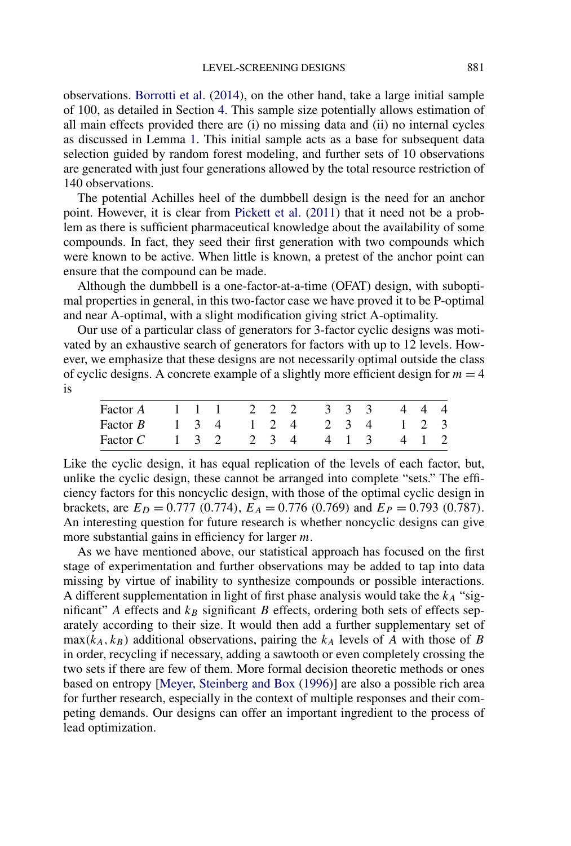<span id="page-18-0"></span>observations. Borrotti et al. (2014), on the other hand, take a large initial sample of 100, as detailed in Section [4.](#page-11-0) This sample size potentially allows estimation of all main effects provided there are (i) no missing data and (ii) no internal cycles as discussed in Lemma [1.](#page-4-0) This initial sample acts as a base for subsequent data selection guided by random forest modeling, and further sets of 10 observations are generated with just four generations allowed by the total resource restriction of 140 observations.

The potential Achilles heel of the dumbbell design is the need for an anchor point. However, it is clear from Pickett et al. (2011) that it need not be a problem as there is sufficient pharmaceutical knowledge about the availability of some compounds. In fact, they seed their first generation with two compounds which were known to be active. When little is known, a pretest of the anchor point can ensure that the compound can be made.

Although the dumbbell is a one-factor-at-a-time (OFAT) design, with suboptimal properties in general, in this two-factor case we have proved it to be P-optimal and near A-optimal, with a slight modification giving strict A-optimality.

Our use of a particular class of generators for 3-factor cyclic designs was motivated by an exhaustive search of generators for factors with up to 12 levels. However, we emphasize that these designs are not necessarily optimal outside the class of cyclic designs. A concrete example of a slightly more efficient design for  $m = 4$ is

| Factor A 1 1 1 2 2 2 3 3 3 4 4 4                                                          |  |  |  |  |  |  |
|-------------------------------------------------------------------------------------------|--|--|--|--|--|--|
| Factor B $1\quad 3\quad 4\quad 1\quad 2\quad 4\quad 2\quad 3\quad 4\quad 1\quad 2\quad 3$ |  |  |  |  |  |  |
| Factor C 1 3 2 2 3 4 4 1 3 4 1 2                                                          |  |  |  |  |  |  |

Like the cyclic design, it has equal replication of the levels of each factor, but, unlike the cyclic design, these cannot be arranged into complete "sets." The efficiency factors for this noncyclic design, with those of the optimal cyclic design in brackets, are  $E_D = 0.777$  (0.774),  $E_A = 0.776$  (0.769) and  $E_P = 0.793$  (0.787). An interesting question for future research is whether noncyclic designs can give more substantial gains in efficiency for larger m.

As we have mentioned above, our statistical approach has focused on the first stage of experimentation and further observations may be added to tap into data missing by virtue of inability to synthesize compounds or possible interactions. A different supplementation in light of first phase analysis would take the  $k_A$  "significant" A effects and  $k_B$  significant B effects, ordering both sets of effects separately according to their size. It would then add a further supplementary set of  $max(k_A, k_B)$  additional observations, pairing the  $k_A$  levels of  $\overline{A}$  with those of  $\overline{B}$ in order, recycling if necessary, adding a sawtooth or even completely crossing the two sets if there are few of them. More formal decision theoretic methods or ones based on entropy [Meyer, Steinberg and Box (1996)] are also a possible rich area for further research, especially in the context of multiple responses and their competing demands. Our designs can offer an important ingredient to the process of lead optimization.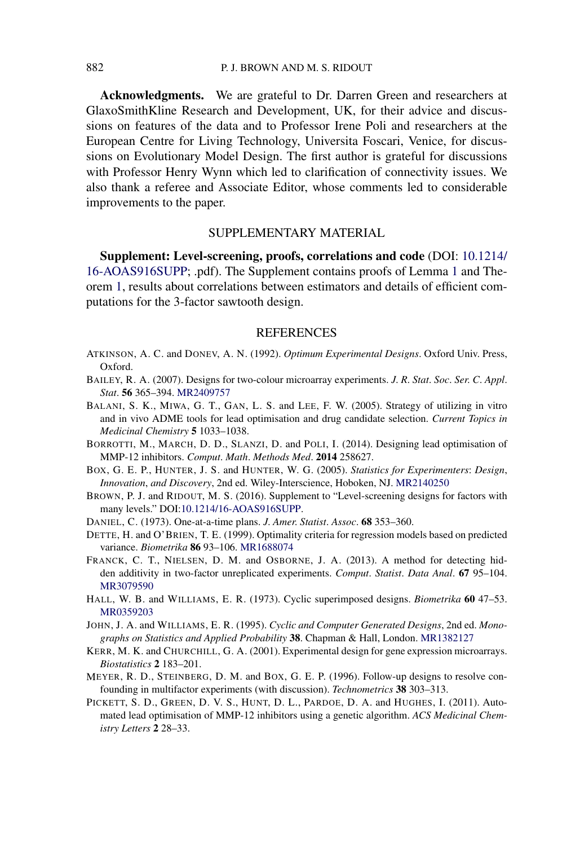<span id="page-19-0"></span>**Acknowledgments.** We are grateful to Dr. Darren Green and researchers at GlaxoSmithKline Research and Development, UK, for their advice and discussions on features of the data and to Professor Irene Poli and researchers at the European Centre for Living Technology, Universita Foscari, Venice, for discussions on Evolutionary Model Design. The first author is grateful for discussions with Professor Henry Wynn which led to clarification of connectivity issues. We also thank a referee and Associate Editor, whose comments led to considerable improvements to the paper.

#### SUPPLEMENTARY MATERIAL

**Supplement: Level-screening, proofs, correlations and code** (DOI: [10.1214/](http://dx.doi.org/10.1214/16-AOAS916SUPP) [16-AOAS916SUPP](http://dx.doi.org/10.1214/16-AOAS916SUPP); .pdf). The Supplement contains proofs of Lemma [1](#page-4-0) and Theorem [1,](#page-6-0) results about correlations between estimators and details of efficient computations for the 3-factor sawtooth design.

#### REFERENCES

- ATKINSON, A. C. and DONEV, A. N. (1992). *Optimum Experimental Designs*. Oxford Univ. Press, Oxford.
- BAILEY, R. A. (2007). Designs for two-colour microarray experiments. *J*. *R*. *Stat*. *Soc*. *Ser*. *C*. *Appl*. *Stat*. **56** 365–394. [MR2409757](http://www.ams.org/mathscinet-getitem?mr=2409757)
- BALANI, S. K., MIWA, G. T., GAN, L. S. and LEE, F. W. (2005). Strategy of utilizing in vitro and in vivo ADME tools for lead optimisation and drug candidate selection. *Current Topics in Medicinal Chemistry* **5** 1033–1038.
- BORROTTI, M., MARCH, D. D., SLANZI, D. and POLI, I. (2014). Designing lead optimisation of MMP-12 inhibitors. *Comput*. *Math*. *Methods Med*. **2014** 258627.
- BOX, G. E. P., HUNTER, J. S. and HUNTER, W. G. (2005). *Statistics for Experimenters*: *Design*, *Innovation*, *and Discovery*, 2nd ed. Wiley-Interscience, Hoboken, NJ. [MR2140250](http://www.ams.org/mathscinet-getitem?mr=2140250)
- BROWN, P. J. and RIDOUT, M. S. (2016). Supplement to "Level-screening designs for factors with many levels." DOI[:10.1214/16-AOAS916SUPP](http://dx.doi.org/10.1214/16-AOAS916SUPP).
- DANIEL, C. (1973). One-at-a-time plans. *J*. *Amer*. *Statist*. *Assoc*. **68** 353–360.
- DETTE, H. and O'BRIEN, T. E. (1999). Optimality criteria for regression models based on predicted variance. *Biometrika* **86** 93–106. [MR1688074](http://www.ams.org/mathscinet-getitem?mr=1688074)
- FRANCK, C. T., NIELSEN, D. M. and OSBORNE, J. A. (2013). A method for detecting hidden additivity in two-factor unreplicated experiments. *Comput*. *Statist*. *Data Anal*. **67** 95–104. [MR3079590](http://www.ams.org/mathscinet-getitem?mr=3079590)
- HALL, W. B. and WILLIAMS, E. R. (1973). Cyclic superimposed designs. *Biometrika* **60** 47–53. [MR0359203](http://www.ams.org/mathscinet-getitem?mr=0359203)
- JOHN, J. A. and WILLIAMS, E. R. (1995). *Cyclic and Computer Generated Designs*, 2nd ed. *Monographs on Statistics and Applied Probability* **38**. Chapman & Hall, London. [MR1382127](http://www.ams.org/mathscinet-getitem?mr=1382127)
- KERR, M. K. and CHURCHILL, G. A. (2001). Experimental design for gene expression microarrays. *Biostatistics* **2** 183–201.
- MEYER, R. D., STEINBERG, D. M. and BOX, G. E. P. (1996). Follow-up designs to resolve confounding in multifactor experiments (with discussion). *Technometrics* **38** 303–313.
- PICKETT, S. D., GREEN, D. V. S., HUNT, D. L., PARDOE, D. A. and HUGHES, I. (2011). Automated lead optimisation of MMP-12 inhibitors using a genetic algorithm. *ACS Medicinal Chemistry Letters* **2** 28–33.